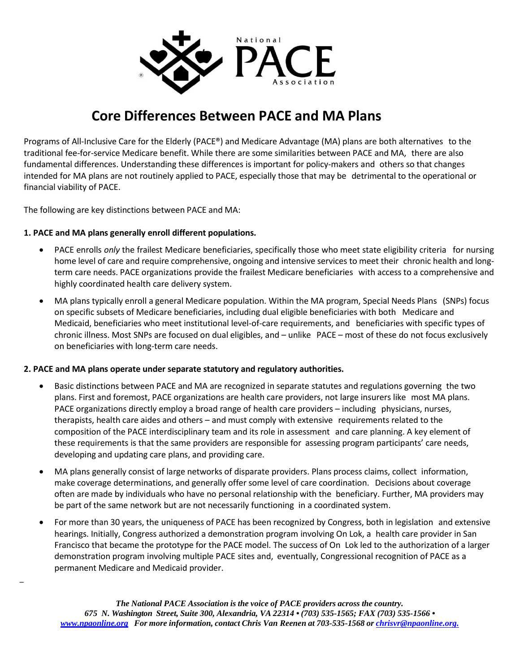

# **Core Differences Between PACE and MA Plans**

Programs of All-Inclusive Care for the Elderly (PACE®) and Medicare Advantage (MA) plans are both alternatives to the traditional fee-for-service Medicare benefit. While there are some similarities between PACE and MA, there are also fundamental differences. Understanding these differences is important for policy-makers and others so that changes intended for MA plans are not routinely applied to PACE, especially those that may be detrimental to the operational or financial viability of PACE.

The following are key distinctions between PACE and MA:

\_

### **1. PACE and MA plans generally enroll different populations.**

- PACE enrolls *only* the frailest Medicare beneficiaries, specifically those who meet state eligibility criteria for nursing home level of care and require comprehensive, ongoing and intensive services to meet their chronic health and longterm care needs. PACE organizations provide the frailest Medicare beneficiaries with access to a comprehensive and highly coordinated health care delivery system.
- MA plans typically enroll a general Medicare population. Within the MA program, Special Needs Plans (SNPs) focus on specific subsets of Medicare beneficiaries, including dual eligible beneficiaries with both Medicare and Medicaid, beneficiaries who meet institutional level-of-care requirements, and beneficiaries with specific types of chronic illness. Most SNPs are focused on dual eligibles, and – unlike PACE – most of these do not focus exclusively on beneficiaries with long-term care needs.

# **2. PACE and MA plans operate under separate statutory and regulatory authorities.**

- Basic distinctions between PACE and MA are recognized in separate statutes and regulations governing the two plans. First and foremost, PACE organizations are health care providers, not large insurers like most MA plans. PACE organizations directly employ a broad range of health care providers – including physicians, nurses, therapists, health care aides and others – and must comply with extensive requirements related to the composition of the PACE interdisciplinary team and its role in assessment and care planning. A key element of these requirements is that the same providers are responsible for assessing program participants' care needs, developing and updating care plans, and providing care.
- MA plans generally consist of large networks of disparate providers. Plans process claims, collect information, make coverage determinations, and generally offer some level of care coordination. Decisions about coverage often are made by individuals who have no personal relationship with the beneficiary. Further, MA providers may be part of the same network but are not necessarily functioning in a coordinated system.
- For more than 30 years, the uniqueness of PACE has been recognized by Congress, both in legislation and extensive hearings. Initially, Congress authorized a demonstration program involving On Lok, a health care provider in San Francisco that became the prototype for the PACE model. The success of On Lok led to the authorization of a larger demonstration program involving multiple PACE sites and, eventually, Congressional recognition of PACE as a permanent Medicare and Medicaid provider.

*The National PACE Association is the voice of PACE providers across the country. 675 N. Washington Street, Suite 300, Alexandria, VA 22314 • (703) 535-1565; FAX (703) 535-1566 • [www.npaonline.org](http://www.npaonline.org/) For more information, contact Chris Van Reenen at 703-535-1568 or [chrisvr@npaonline.org.](mailto:chrisvr@npaonline.org.)*